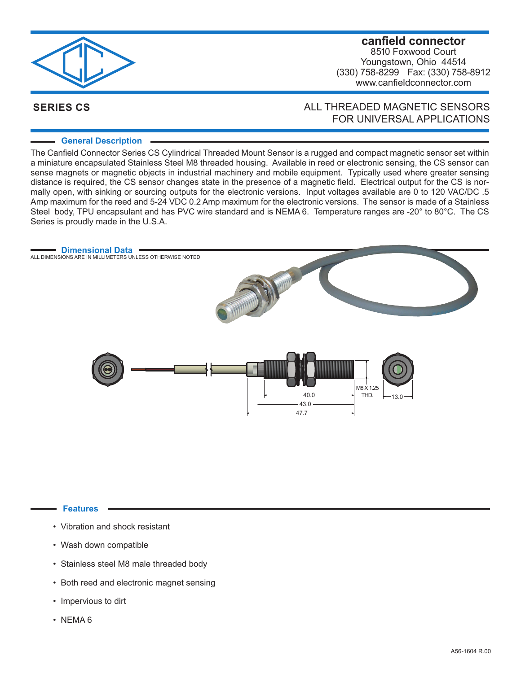

## **canfield connector** 8510 Foxwood Court Youngstown, Ohio 44514 (330) 758-8299 Fax: (330) 758-8912 www.canfieldconnector.com

# **SERIES CS**

# ALL THREADED MAGNETIC SENSORS FOR UNIVERSAL APPLICATIONS

## **General Description**

The Canfield Connector Series CS Cylindrical Threaded Mount Sensor is a rugged and compact magnetic sensor set within a miniature encapsulated Stainless Steel M8 threaded housing. Available in reed or electronic sensing, the CS sensor can sense magnets or magnetic objects in industrial machinery and mobile equipment. Typically used where greater sensing distance is required, the CS sensor changes state in the presence of a magnetic field. Electrical output for the CS is normally open, with sinking or sourcing outputs for the electronic versions. Input voltages available are 0 to 120 VAC/DC .5 Amp maximum for the reed and 5-24 VDC 0.2 Amp maximum for the electronic versions. The sensor is made of a Stainless Steel body, TPU encapsulant and has PVC wire standard and is NEMA 6. Temperature ranges are -20° to 80°C. The CS Series is proudly made in the U.S.A.



#### **Features**

- Vibration and shock resistant
- Wash down compatible
- Stainless steel M8 male threaded body
- Both reed and electronic magnet sensing
- Impervious to dirt
- NEMA 6